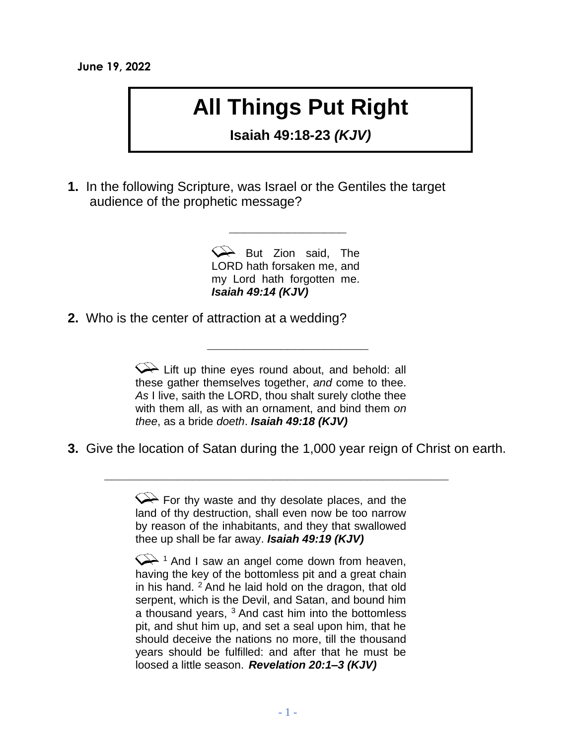## **All Things Put Right**

**Isaiah 49:18-23** *(KJV)*

**1.** In the following Scripture, was Israel or the Gentiles the target audience of the prophetic message?

> But Zion said, The LORD hath forsaken me, and my Lord hath forgotten me. *Isaiah 49:14 (KJV)*

**\_\_\_\_\_\_\_\_\_\_\_\_\_\_\_\_\_\_\_\_\_\_**

**\_\_\_\_\_\_\_\_\_\_\_\_\_\_\_\_**

**2.** Who is the center of attraction at a wedding?

 $\curvearrowright$  Lift up thine eyes round about, and behold: all these gather themselves together, *and* come to thee. *As* I live, saith the LORD, thou shalt surely clothe thee with them all, as with an ornament, and bind them *on thee*, as a bride *doeth*. *Isaiah 49:18 (KJV)*

**3.** Give the location of Satan during the 1,000 year reign of Christ on earth.

 $\leftrightarrow$  For thy waste and thy desolate places, and the land of thy destruction, shall even now be too narrow by reason of the inhabitants, and they that swallowed thee up shall be far away. *Isaiah 49:19 (KJV)*

**\_\_\_\_\_\_\_\_\_\_\_\_\_\_\_\_\_\_\_\_\_\_\_\_\_\_\_\_\_\_\_\_\_\_\_\_\_\_\_\_\_\_\_\_\_\_\_**

 $\leftrightarrow$  1 And I saw an angel come down from heaven, having the key of the bottomless pit and a great chain in his hand.  $2$  And he laid hold on the dragon, that old serpent, which is the Devil, and Satan, and bound him a thousand years,  $3$  And cast him into the bottomless pit, and shut him up, and set a seal upon him, that he should deceive the nations no more, till the thousand years should be fulfilled: and after that he must be loosed a little season. *Revelation 20:1–3 (KJV)*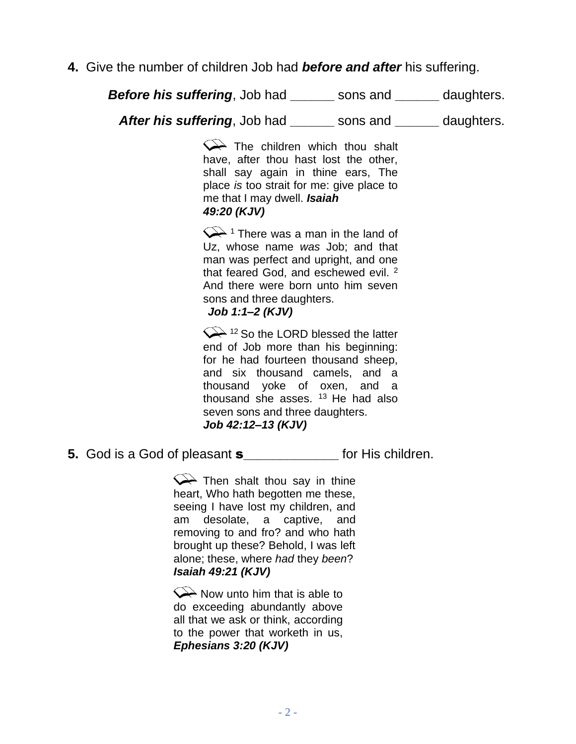**4.** Give the number of children Job had *before and after* his suffering.

*Before his suffering*, Job had sons and daughters. *After his suffering*, Job had **\_\_\_\_\_\_** sons and **\_\_\_\_\_\_** daughters.

> $\leftrightarrow$  The children which thou shalt have, after thou hast lost the other, shall say again in thine ears, The place *is* too strait for me: give place to me that I may dwell. *Isaiah 49:20 (KJV)*

> $\sqrt{\phantom{a}}$ <sup>1</sup> There was a man in the land of Uz, whose name *was* Job; and that man was perfect and upright, and one that feared God, and eschewed evil.<sup>2</sup> And there were born unto him seven sons and three daughters. *Job 1:1–2 (KJV)*

> $\left\langle \right\rangle$ <sup>12</sup> So the LORD blessed the latter end of Job more than his beginning: for he had fourteen thousand sheep, and six thousand camels, and a thousand yoke of oxen, and a thousand she asses.  $13$  He had also seven sons and three daughters. *Job 42:12–13 (KJV)*

**5.** God is a God of pleasant s**\_\_\_\_\_\_\_\_\_\_\_\_\_** for His children.

 $\leftrightarrow$  Then shalt thou say in thine heart, Who hath begotten me these, seeing I have lost my children, and am desolate, a captive, and removing to and fro? and who hath brought up these? Behold, I was left alone; these, where *had* they *been*? *Isaiah 49:21 (KJV)*

 $\leftrightarrow$  Now unto him that is able to do exceeding abundantly above all that we ask or think, according to the power that worketh in us, *Ephesians 3:20 (KJV)*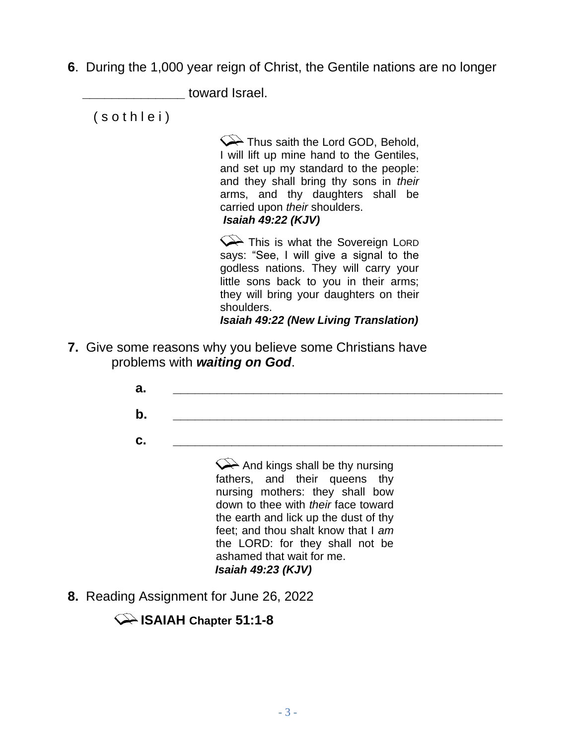**6**. During the 1,000 year reign of Christ, the Gentile nations are no longer

**\_\_\_\_\_\_\_\_\_\_\_\_\_\_** toward Israel.

( s o t h l e i )

Thus saith the Lord GOD, Behold, I will lift up mine hand to the Gentiles, and set up my standard to the people: and they shall bring thy sons in *their* arms, and thy daughters shall be carried upon *their* shoulders. *Isaiah 49:22 (KJV)*

This is what the Sovereign LORD says: "See, I will give a signal to the godless nations. They will carry your little sons back to you in their arms; they will bring your daughters on their shoulders. *Isaiah 49:22 (New Living Translation)*

**7.** Give some reasons why you believe some Christians have problems with *waiting on God*.

| b. |                                                                                                                 |
|----|-----------------------------------------------------------------------------------------------------------------|
| С. | And kings shall be thy nursing<br>fathers, and their queens thy                                                 |
|    | nursing mothers: they shall bow<br>down to thee with <i>their</i> face toward                                   |
|    | the earth and lick up the dust of thy<br>feet; and thou shalt know that I am<br>the LORD: for they shall not be |
|    | ashamed that wait for me.<br><b>Isaiah 49:23 (KJV)</b>                                                          |

**8.** Reading Assignment for June 26, 2022

## **ISAIAH Chapter 51:1-8**